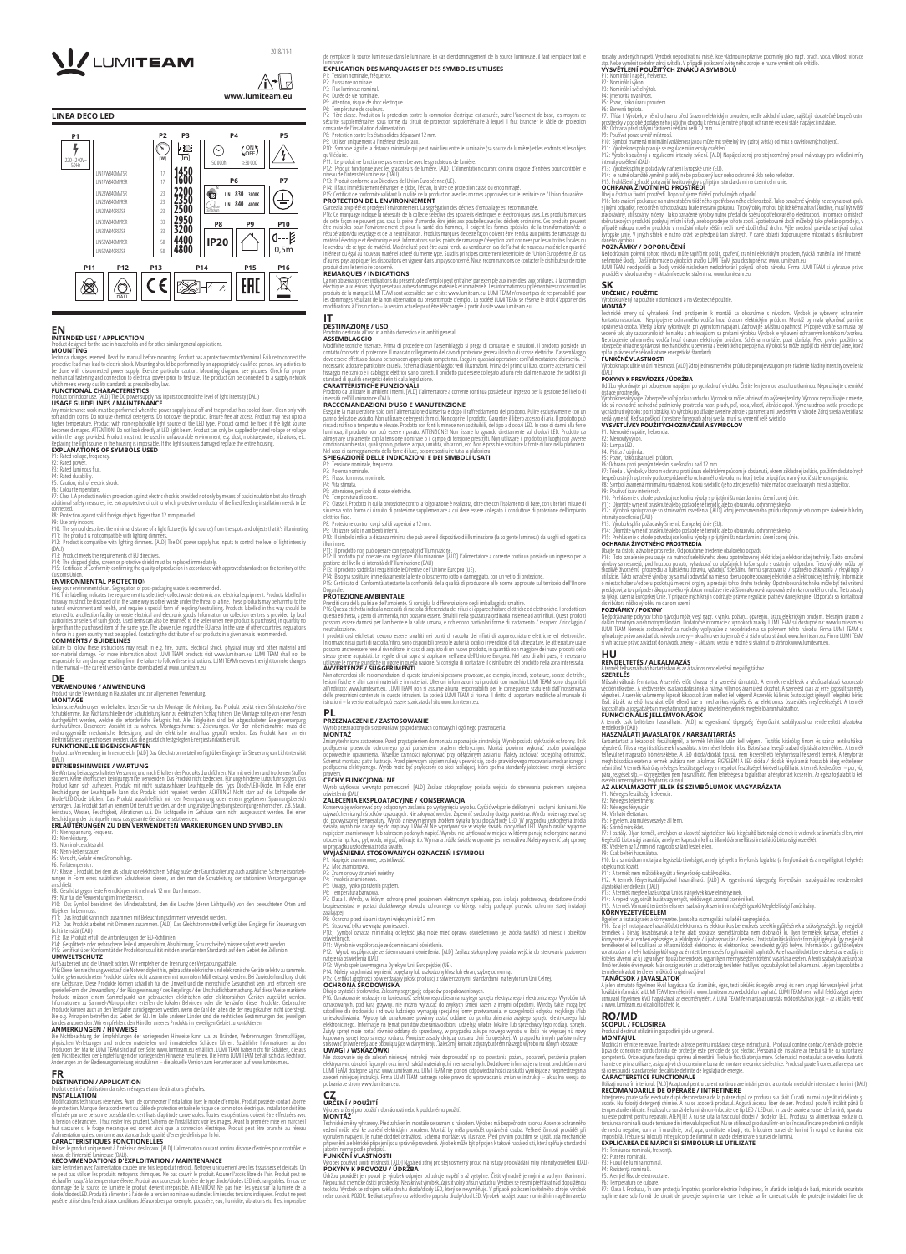de remplacer la source lumineuse dans le luminaire. En cas d'endommagement de la source lumineuse, il faut remplacer tout le

## luminaire.<br>**EXPLICATION DES MARQUAGES ET DES SYMBOLES UTILISES**

P1: Tension nominale, fréquence. P2: Puissance nominale.

P3: Flux lumineux nominal. P4: Durée de vie nominale.

P5: Attention, risque de choc électrique.

P6: Température de couleurs.

P7: Tère classe. Produit où la protection contre la commotion électrique est assurée, outre l'isolement de base, les moyens de<br>sécurité suppléméntaires sous forme du circuit de protection suppléméntaire à lequel il faut br

P9: Utiliser uniquement à l'intérieur des locaux.<br>P10: Symbole signifie la distance minimale qui peut avoir lieu entre le luminaire (sa source de lumière) et les endroits et les objets<br>qu'il éclaire.

P11: Le produit ne fonctionne pas ensemble avec les gradateurs de lumière.<br>P12: Produit fonctionne avec les gradateurs de lumière. [ALD] L'alimentation courant continu dispose d'entrées pour contrôler le niveau de l'intensité lumineuse (DALI).

P13: Produit conforme aux Directives de IUnion Européenne (UE).<br>P14: Il faut immédiatement échanger le globe, l'écran, la vitre de protection cassé ou endommagé.<br>P15: Certificat de conformité validant la qualité de la pr **PROTECTION DE L'ENVIRONNEMENT**

Gardez la proprété et protégez l'environnement. La segrégation des déchets d'emballage est recommandée.<br>P16: Ce marquage indique la nécessité de la collecte selective des appareils électriques et dectroniques usés.<br>de cett matériel électrique et électronique usé. Informations sur les points de ramassage/réception sont données par les autorités locales ou<br>le vendeur de ce type de matériel. Matériel usé peut être aussi rendu au vendeur en cas

La non observation des indications du présent ,ode d'emploi peut entraîner par exemple aux incendies, aux brûlures, à la commotion<br>électrique, aux lésions physiques et aux autres dommages matériels et immateriels. Les info modifications à l'instruction – la version actuelle peut être téléchargée à partir du site www.lumiteam.eu.

Eseguire la manutenzione solo con l'alimentazione disinserita e dopo il raffreddamento del prodotto. Pulire esclusivamente con un<br>panno delicato e asciutto. Non utilizzare detergenti chimici. Non coprire il prodotto. Grana alimentare unicamente con la tensione nominale o il campo di tensione prescritti. Non utilizzare il prodotto in luoghi con avverse condizioni ambientali, quali sporco, polvere, acqua, umidità, vibrazioni, ecc. Non è possibile sostituire la fonte di luce nella plafoniera.

## produit dans le territoire concerné. **REMARQUES / INDICATIONS**

P9: Utilizzare solo in ambienti interni. P10: Il simbolo indica la distanza minima che può avere il dispositivo di illuminazione (la sorgente luminosa) da luoghi ed oggetti da<br>illuminare

illuminare.<br>P11: Il prodotto non può operare con regolatori d'illuminazione.<br>P12: Il prodotto può operare con regolatore d'illuminazione. [ALD] L'alimentatore a corrente continua possiede un ingresso per la<br>gestione del li

P14: Bisogna sostituire immediatamente la lente o lo schermo rotto o danneggiato, con un vetro di protezione.<br>P15: Certificato di Conformità attestante la confromità della qualità di produzione alle norme approvate sul ter

#### **IT DESTINAZIONE / USO**

so in ambito domestico e in ambiti generali.

**ASSEMBLAGGIO**

Modifiche tecniche riservate. Prima di procedere con l'assemblaggio si prega di consultare le istruzioni. Il prodotto possiede un<br>contatto/morsetto di protezione. Il mancato collegamento del cavo di protezione genera il ri fissaggio meccanico e il cablaggio elettrico siano corretti. Il prodotto può essere collegato ad una rete d'alimentazione che soddisfi gli<br>standard di qualità energetri definiti dalla legislazione lefiniti dalla legislazione.

Prenditi cura della pulizia e dell'ambiente. Si consiglia la differenziazione degli imballaggi da smaltire.<br>P16: Questa etichetta indica la necessità di raccolta differenziata dei rifuiti di apparecchiature elettroniche. I neutralizzazione.

#### **CARATTERISTICHE FUNZIONALI**

Non attenendosi alle raccomandazioni di queste istruzioni si possono provocare, ad esempio, incendi, scottature, scosse elettriche,<br>lesioni fisiche e altri danni materiali e immateriali. Ulteriori informazioni sui prodotti istruzioni – la versione attuale può essere scaricata dal sito www.lumiteam.eu.

Prodotto da utilizzare in ambienti interni. [ALD] L'alimentatore a corrente continua possiede un ingresso per la gestione del livello di

## intensità dell'illuminazione (DALI) **RACCOMANDAZIONI D'USO E MANUTENZIONE**

Zmiany techniczne zastrzeżone. Przed przystąpieniem do montażu zapoznaj się z instrukcją. Wyrób posiada styk/zacisk ochronny. Brak<br>podłączenia przewodu ochronnego grozi porażeniem prądem elektrycznym. Montaż powinna wykona podłączenia elektrycznego. Wyrób może być przyłączony do sieci zasilającej, która spełnia standardy jakościowe energii określone prawem.

wyczytkować w mieszczeń. [ALD] Zasilacz stałoprądowy posiada wejścia do sterowania poziomem natężenia oświetlenia (DALI) **ZALECENIA EKSPLOATACYJNE / KONSERWACJA** 

Konserwację wykonywać przy odłączonym zasilaniu po wystygnięciu wyrobu. Czyścić wyłącznie delikatnymi i suchymi tkaninami. Nie<br>używać chemicznych środków czysczących. Nie zakrywać wyrobu. Zapewnić swobodny dostęp powietrza napięciem znamionowym lub zakresem podanych napięć. Wyrobu nie użytkować w miejscu w którym panują niekorzystne warunki otoczenia np. kurz, pył, woda, wilgoć, wibracje itp. Wymiana źródła światła w oprawie jest niemożliwa. Należy wymienić całą oprawę w przypadku uszkodzenia źródła światła.

P5: Uwaga, ryzyko porażenia prądem. Temperatura barwowa.

Nel caso di danneggiamento della fonte di luce, occorre sostituire tutta la plafoniera. **SPIEGAZIONE DELLE INDICAZIONI E DEI SIMBOLI USATI**

- P1: Tensione nominale, frequenza.
- P3: Potenza nominale. P3: Flusso luminoso nominale.
- 
- P4: Vita stimata. P5: Attenzione, pericolo di scosse elettriche.
- P6: Temperatura di colore.

P9: Stosować tylko wewnątrz pomieszcze<br>P10: Symbol oznacza minimalna odle P10: Symbol oznacza minimalną odległość jaką może mieć oprawa oświetleniowa (jej źródła światła) od miejsc i obiektów

P7: Classe I. Prodotto in cui la protezione contro la folgorazione è realizzata, oltre che con l'isolamento di base, con ulteriori misure di sicurezza sotto forma di circuito di protezione supplementare a cui deve essere collegato il conduttore di protezione dell'impianto elettrico fisso. P8: Protezione contro i corpi solidi superiori a 12 mm.

Nie stosowanie się do zaleceń niniejszej instrukcji może doprowadzić np. do powstania pożaru, poparzeń, porażenia prądem<br>elektycznym, obrażeń fizycznych oraz innych szkód materialnych iniematerialnych. Dodatkowe informacje pobrania ze strony www.lumiteam.eu.

# **CZ**<br>URČENÍ / POUŽITÍ

Technické změny vyhrazeny. Před zahájením montáže se seznam s návodem. Výrobek má bezpečnostní svorku. Absence ochranného vedení může vést ke zranění elektrickým proudem. Montáž by měla provádět oprávněná osoba. Veškeré činnosti provádět při<br>vypnutém napájení. Je nutné dodržet ostražitost. Schéma montáže: viz ilustrace. Před prvním použití, z

## Doganale. **PROTEZIONE AMBIENTALE**

– ví.<br>Stí. [ALD] Napájecí zdroj pro stejnosměrný proud má vstupy pro ovládání míry intenzity osvětlení (DALI) **POKYNY K PROVOZU / ÚDRŽBA** 

Udržbu provádět jen pokud je výrobek odpojen od zdroje napětí a až vystydne. Čistit výhradně jemnými a suchými tkaninami.<br>Nepoužívat chemické čisticí prostředky. Nezakryvatvýrobek. Zajistit volný přísun vzduchu. Výrobek sp nelze opravit. POZOR: Nedívat se přímo do světleného paprsku diody/diod LED. Výrobek napájet pouze nominálním napětím anebo

I prodotti così etichettati devono essere smaltiti nei punti di raccolta dei rifiuti di apparecchiature elettriche ed elettroniche. Informazioni sui punti di raccolta/ritiro, sono disponibili presso le autorità locali o i rivenditori di tali attrezature usate<br>possono anche essere rese al rivenditore, in caso di acquisto di un nuovo prodotto, in quantit **AVVERTENZE / SUGGERIMENTI**

#### **PL PRZEZNACZENIE / ZASTOSOWANIE**

wycznaczony za przez przeznaczony w przeznaczony do stosowania w gospodarstwach domowych i ogólnego przeznaczenia.

**MONTAŻ**

#### **CECHY FUNKCJONALNE**

P1: Menovité napätie, frekvencia. P2: Menovitý výkon. P3: Lampa LED.<br>P4: Pätica / objímka.

P13: Výrobok splňa požiadavky Smerníc Európskej únie (EU). P14: Okamžite vymeniť prasknuté alebo poškodené tienidlo alebo obrazovku, ochranné skielko. P15: Prehlásenie o zhode potvrdzujúce kvalitu výroby s prijatými štandardami na území colnej únie.<br>OCHRANA ŽIVOTNÉHO PROSTREDIA

### **WYJAŚNIENIA STOSOWANYCH OZNACZEŃ I SYMBOLI**

P1: Napięcie znamionowe, częstotliwość. P2: Moc znamionowa. P3: Znamionowy strumień świetlny. P4: Trwałość znamionowa.

P7: Klasa I. Wyrób, w którym ochronę przed porażeniem elektrycznym spełniają, poza izolacja podstawową, dodatkowe środki bezpieczeństwa w postaci dodatkowego obwodu ochronnego do którego należy podłączyć przewód ochronny stałej instalacji

oświetlanych.<br>P11: Wyrób nie współpracuje ze ściemniaczami oświetlenia

zasilającej.

P8: Ochrona przed ciałami stałymi większymi niż 12 mm.

P11: Wyrób nie współpracuje ze ściemniaczami oświetlenia.<br>P12: Wyrob współpracuje ze ściemniaczami oświetlenia. [ALD] Zasilacz stałoprądowy posiada wejścia do sterowania poziomem<br>natężenia oświetlenia (DALI)

Műszaki változás fenntartva. A szerelés előtt olvassa el a szerelési útmutatót. A termék rendelkezik a védőcsatlakozó kapoccsal/ védőérintkezővel. A védővezeték csatlakoztatásának a hiánya villamos áramütést okozhat. A szerelést csak az erre jogosult személy<br>végezheti. A szerelés valamennyi lépését kikapcsolt áram mellett kell végeznil A szerelés kö

P13: Wyrób spełnia wymagania Dyrektyw Unii Europejskiej (UE).

P14: Należy natychmiast wymienić popękany lub uszkodzony klosz lub ekran, szybkę ochronną. P15: Certfikat Zgodności potwierdzający jakość produkcji z zatwierdzonymi standardami na terytorium Unii Celnej.

### **OCHRONA ŚRODOWISKA**

Dbaj o czystość i środowisko. Zalecamy segregację odpadów poopakowaniowych,<br>P16: Oznakowanie wskazuje na konieczność selektywnego zbierania zużytego sprzętu elektrycznego i elektronicznego. Wyrobów tak<br>oznakowanych, pod ka Zużyty sprzęt może zostać również oddany do sprzedawcy, w przypadku zakupu nowego wyrobu w ilości nie większej niż nowy<br>kupowany sprzęt tego samego rodzaju. Powyższe zasady dotyczą obszaru Unii Europejskiej. W przypadku in

P6: Színhőmérséklet.<br>P7: Tosztály. Diyan termék, amelyben az alapvető szigetelésen kívül kiegészítő biztonsági elemek is védenek az áramütés ellen, mint<br>kiegészítő biztonsági áramkör, amelyhez kapcsolni kell az állandó ára P10: Ez a szimbólum mutatja a legkisebb távolságot, amely igényelt a fényforrás foglalata (a fényforrásai) és a megvilágított helyek és

P11: A termék nem működik együtt a fényerősség-szabályozókkal.<br>P12: A termék fényerőszabályozóval használható. [ALD] Az egyenáramú tápegység fényerőszint szabályozáshoz renderesített<br>aljzatokkal rendelkezik (DALI)

P13: A termék megfelel az Európai Uniós írányelvek követelményeinek.<br>P14: A repedt vagy sérült burát vagy ernyőt, védőüveget azonnal cserélni kell.<br>P15: A termék Vámunió területén elismert szabványok szerinti minőségét

### **UWAGI / WSKAZÓWKI**

Ugyeljen a tisztaságra és a környezetre. Javasolt a csomagolási hulladék szegregációja.<br>P16: Ez a jel mutatja az elhasználódott elektromos és elektronikus berendezés szelektív gyűjtésének a szüksége<br>termékek a bírság kisza környezetre és az emberi egészégre, a feldolgozás / újrahasznosítás / kezelés / hatástalanítás különös formáját igénylik. Igy megjelölt<br>termékeket el kell szállítani az elhasználódott elektromos és elektronikus berendezést köteles átvenni az új ugyanilyen típusú berendezés ugyanilyen mennyiségben történő vásárlása esetén. A fenti szabályok az Európai<br>Unió területén érvényesek. Más ország esetén az adott ország területén hatályos jogszabályok termékeink adott területen működő forgalmazójával.

rozsahy uvedených napětí. Výrobek nepoužívat na místě, kde vládnou nepříznivé podmínky jako např. prach, voda, vlhkost, vibrace<br>atp. Nel<u>te vyměnít světelný zdr</u>oja vitidla. V případě poškození světelného zdroje je nutné v

P7: Třída I. Výrobek, v němž ochranu před úrazem elektrickým proudem, vedle základní izolace, zajištují dodatečné bezpečnostní<br>prostředky v podobě dodatečného jistícho obvodu k němuž je nutné připojit ochranné vedení stálé P10: Symbol znamená minimální vzdálenost jakou může mít světelný kryt (zdroj světla) od míst a osvětlovaných objektů. P11: Výrobek nespolupracuje se regulacemi intensity osvětlení.<br>P12: Výrobek součinný s regulacemi intenzity svícení. [ALD] Napájecí zdroj pro stejnosměrný proud má vstupy pro ovládání míry<br>intenzity osvětlení (DALI)

Dbej o čistotu a životní prostředí. Doporučujeme třídění poobalových odpadků.<br>P16: Toto značení poukazuje na nutnost sběru tříděného opotřebovaného elektro zboží. Takto označené výrobky nelze vyhazovat spolu

s jinými odpadky, nedodržení tohoto zákazu bude trestáno pokutou. Tyto výrobky mohou být lidskému zdraví škodlivé, musí být zvlášť<br>zracovávány, utilisovány, ničeny. Takto označené výrobky nutno předat do sběru opotřebované

Nedodržování pokynů tohoto návodu může zapříčinit požár, opaření, zranění elektrickým proudem, fyzická zranění a jiné hmotné i<br>nehmotně škody. Další informace o výrobcích značky LUMI TEMA jsou dostupné na: www.lumiteam.eu<br>

Technické zmeny sú vyhradené. Pred pristípením k montáži sa oboznámte s nívodom. Výrobok je vybavený ochranným<br>kontaktom/svorkou. Nepripojenie ochranného vodiča hrozí úrazom elektrickým prúdom. Montáž by mala vykonází patr

A jelen útmutató figyelmen kívül hagyása a tűz, áramütés, égés, testi sérülés és egyéb anyagi es nem anyagi kár<br>További információ a LUMI TEAM termékeiről a www.lumiteam.eu weboldalon kapható. LUMI TEAM nem vállal felelőss a www.lumiteam.eu oldalról tölthető le.

**URČENÍ / POUŽITÍ** Výrobek určený pro použití v domácnosti nebo k podobnému použití. **MONTÁŽ**

Modificări tehnice rezervate. Înainte de a trece pentru instalarea citește instrucțiună. Produsul contine contact/clemă de protecție.<br>Lipsa de conexiune conductorului de protecție este pericole de șoc electric. Persoană d să corespundă standardelor de calitate definite de legislaţia de energie.

## jakostní normy podle předpisů. **FUNKČNÍ VLASTNOSTI**

P1: Nominální napětí, frekvence. P2: Nominální výkon. P3: Nominální světelný tok. P4: Jmenovitá trvanlivost. P5: Pozor, riziko úrazu proudem. P6: Barevná teplota.

P13: Výrobek splňuje požadavky nařízení Evropské unie (EU).

P14: Je nutné okamžitě vyměnit prasklý nebo poškozený lustr nebo ochranné sklo nebo reflektor. P15: Prohlášení o shodě potvrzující kvalitu výroby s přijatými standardami na území celní unie.

**OCHRANA ŽIVOTNÍHO PROSTŘEDÍ**

daného výrobku.

**POZNÁMKY / DOPORUČENÍ**

provádět v návodu změny – aktuální verze ke stažení na: www.lumiteam.eu.

**SK URČENIE / POUŽITIE**

Výrobok určený na použitie v domácnosti a na všeobecné použitie.

**MONTÁŽ**

splňa právne určené kvalitatívne energetické štandardy. **FUNKČNÉ VLASTNOSTI**

Výrobok na použitie vnútri miestností. [ALD] Zdroj jednosmerného prúdu disponuje vstupom pre riadenie hladiny intenzity osvetlenia

**POKYNY K PREVÁDZKE / ÚDRŽBA**<br>Údřabu vykonávajte pri odpojenom napájaní po vychladnutí výrobku. Čistite len jemnou a suchou tkaninou. Nepouživajte chemické<br>čistiace prostriedky. Výrobok nezakrývajte. Zabezpečte voľný prísun vzduchu. Výrobok sa môže zahrievať do zvýšenej teploty. Výrobok nepouživajte v mieste, kde sú nevhodné nevhodné podmienky prostredia napr. prach, peľ, voda, vlkosť, vibrácie apod. Výmenu zdroja svetla prevedte po<br>vychladnutí výrobku: pozri obrázky. Vo výrobku používajte svetelné zdroje s parametrami uvedeným

P7: Trieda I. Výrobok, v ktorom ochrana proti úrazu elektrickým prúdom je dosianutá, okrem základnej izolácie, použitím dodatočných<br>bezpečnostných optrení v podobe prídavného ochranného obvodu, na ktorý treba pripojiť ochr

**VYSVETLÍVKY POUŽITÝCH OZNAČENÍ A SYMBOLOV**

P5: Pozor, riziko zásahu el. prúdom. P6: Ochrana proti pevným telesám s veľkosťou nad 12 mm.

tora nášho výrobku na danom území.

P9: Použivať iba v interieroch.

P10: Prehlásenie o zhode potvrdzujúce kvalitu výroby s prijatými štandardami na území colnej únie. P11: Okamžite vymeniť prasknuté alebo poškodené tienidlo alebo obrazovku, ochranné skielko.

P12: Výrobok spolupracuje so stmievačmi osvetlenia. [ALD] Zdroj jednosmerného prúdu disponuje vstupom pre riadenie hladiny intenzity osvetlenia (DALI)

**OCHRANA ŽIVOTNÉHO PROSTREDIA**<br>Dbajte na čistou a životné prostrede. Odporúčame triedenie obalového odpadu<br>Pl6: Toto označenie poukazuje na nutnosť selektívneho zberu opotrebovanej elektrickej a elektronickej techniky. Tak

Nedodržiavanie pokynov tohto návodu môže viesť napr. k vzniku požiaru, opareniu, úrazu elektrickým prúdom, telesným úrazom a<br>dalším hmotným a nehmotným škodám. Dodatočné informácie o výrobkoch značky LUMI TEAM sú dostupné LUMI TEAM Nenesie zodpovednoť za následky vyplývajúce z nepodriadenia sa pokynom tohto návodu. Firma LUMI TEAM si<br>vyhradzuje právo zavádzať do návodu zmeny – aktuálnu verziu je možné si stiahnuť zo stránok www.lumiteam.eu.

**POZNÁMKY / POKYNY**

si vyhradzuje právo zavádzať do návodu zmeny – aktuálnu verziu je možné si stiahnuť zo stránok www.lumiteam.eu.

**A termék felhasznál az termék felhalános rendeltetésű megvilágításhoz.**<br>Isználható háztartásban és az általános rendeltetésű megvilágításhoz.

**HU**

**RENDELTETÉS / ALKALMAZÁS**

**SZERELÉS**

(DALI)<br>**POKYNY K PREVÁDZKE / ÚDRŽBA** 

kapcsolható a jogszabályban meghatározott minőségi követelményeknek megfelelő áramhálózathoz.

**FUNKCIONÁLIS JELLEMVONÁSOK**

A termék csak beltérben használható. [ALD] Az egyenáramú tápegység fényerőszint szabályozáshoz renderesített aljzatokkal

Karbantartást a lekapcsolt feszültségnél, a termék lehűlése után kell végezni. Tisztítás kizárólag finom és száraz textilruhákkal<br>végezhető. Tilos a vegyi tisztítőszerek használata. A terméket lefedni tilos. Biztosíta a le nézni tilos! A termék kizárólag névleges feszültséggel vagy a megadott feszültségek körével táplálható. A termék kedvezőtlen – por, víz,<br>pára, rezgések stb. – környezetben nem használható. Nem lehetséges a foglalatban a fé

cserélni amennyiben a fényforrás károsul. **AZ ALKALMAZOTT JELEK ÉS SZIMBÓLUMOK MAGYARÁZATA**

P1: Névleges feszültség, frekvencia. P2: Névleges teljesítmény. P3: Névleges fénysugár. P4: Várható élettartam. P5: Figyelem, áramütés veszélye áll fenn.

objektumok között.

rendelkezik (DALI)<br>**HASZNÁLATI JAVASLATOK / KARBANTARTÁS** 

**KÖRNYEZETVÉDELEM**

### **TANÁCSOK / JAVASLATOK**

#### **RO/MD SCOPUL / FOLOSIREA**

Produsul destinat utilizării în gospodării şi de uz general.

#### **MONTAJUL**

### **CARACTERSTICE FUNCTIONALE**

u are intrări pentru a controla nivelul de intensitate a luminii (DALI)

## $\mathbb{A}\mathbb{C}$ **www.lumiteam.eu**

#### **RECOMANDARILE DE OPERARE / INTRETINERE**

Intreținerea poate sa fie efectuate după deconectarea de la putere după ce produsul s-a răcit. Curată numai cu țesături delicate și<br>uscate. Nu folosiți detergenți chimice. A nu se acoperă produsul. Asigură accesul liber de tensiunea nominală sau de tensiune din intervalul specificat. Nu se utilizează produsul într-un loc în cazul în care predomină condițiile<br>de mediu negative, cum ar fi murdărie, praf, apa, umiditate, vibrații, etc. Înlocuir

**EN**<br>INTENDED USE / APPLICATION **INTENDED USE / APPLICATION** Product designed for the use in households and for other similar general applications. **MOUNTING**

Technical changes reserved. Read the manual before mounting. Product has a protective contact/terminal. Failure to connect the<br>protective lead may lead to electric shock. Mounting should be performed by an appropriately qu lity standards as prescribed by law

**FUNCTIONAL CHARACTERISTICS**  pply has inputs to control the level of light intensity (DALI)

## imposibilă. Trebuie să înlocuiți întregul corp de iluminat în caz de deteriorare a sursei de lumină. **EXPLICAREA DE MARCII SI SIMBOLURILE UTILIZATE**

P1: Tensiunea nominală, frecver

- 
- P2: Puterea nominală. P3: Fluxul de lumina nominal.
- P4: Rezistență nominală.
- P5: Atenție! Risc de electrocutare
- P6: Temperatura de culoare.

P7: Clasa I. Produsul, în care protecția împotriva șocurilor electrice îndeplinesc, în afară de izolația de bază, măsuri de securitate suplimentare sub formă de circuit de protecție suplimentar care trebuie sa fie conectat cablu de protecție instalatiei fixe de

P7: Class I. A product in which protection against electric shock is provided not only by means of basic insulation but also through<br>additional safety measures, i.e. extra protective circuit to which protective conductor o connected.

P8: Protection against solid foreign objects bigger than 12 mm provided.

**VERWENDUNG / ANWENDUNG** r die Verwendung in Haushalten und zur allgemeinen Verwendung.

Technische Änderungen vorbehalten. Lesen Sie vor der Montage die Anleitung. Das Produkt besitzt einen Schutzstecker/eine Schutzklemme. Das Nichtanschließen der Schutzleitung kann zu elektrischem Schlag führen. Die Montage sollte von einer Person<br>durchgeführt werden, welche die erforderliche Befugnis hat. Alle Tätigkeiten sind bei abgeschalte

Die Wartung bei ausgeschalteter Versorung und nach Erkalten des Produkts durchführen. Nur mit weichen und trockenen Stoffen<br>säubern. Keine chemischen Reinigungsmittel verwenden. Das Produkt nicht bedecken. Für ungehinderte Feinstaub, Wasser, Feuchtigkeit, Vibrationen u.ä. Die Lichtquelle im Gehäuse kann nicht ausgetauscht werden. Bei einer

Auf Sauberkeit und die Umwelt achten. Wir empfehlen die Trennung der Verpackungsabfälle. P16: Diese Kennzeichnung weist auf die Notwendigkeit hin, gebrauchte elektrische und elektronische Geräte selektiv zu sammeln. Solche gekennzeichneten Produkte dürfen nicht zusammen mit normalem Müll entsorgt werden. Bei Zuwiederhandlung droht eine Geldstrafe. Diese Produkte können schädlich für die Umwelt und die menschliche Gesundheit sein und erfordern eine<br>spezielle Form der Umwandlung / der Rückgewinnung / des Recyclings / der Unschädlichbarmachung, Auf die Produkte können auch an den Verkäufer zurückgegeben werden, wenn die Zahl der alten die der neu gekauften nicht übersteigt. Die o.g. Prinzipien betreffen das Gebiet der EU. Im Falle anderer Länder sind die rechtlichen Bestimmungen des jeweiligen<br>Landes anzuwenden. Wir empfehlen, den Händler unseres Produkts im jeweiligen Gebiet zu kontaktieren.

Die Nichtbeachtung der Empfehlungen der vorliegenden Hinweise kann u.a. zu Bränden, Verbrennungen, Stromschlägen, physischen Verletzungen und anderen materiellen und immateriellen Schäden führen. Zusätzliche Informationen zu den Produkten der Marke LUMI TEAM sind auf der Seite www.lumiteam.eu erhältlich. LUMI TEAM haftet nicht für Schäden, die aus<br>dem Nichtbeachten der Empfehlungen der vorliegenden Hinweise resultieren. Die Firma LUMI TEAM behält

Modifications techniques réservées. Avant de commecner l'installation lisez le mode d'emploi. Produit possède contact /borne de protection. Manque de raccordement du câble de protection entraîne le risque de commotion électrique. Installation doit être<br>éffectuée par une personne possédant les certificats d'aptitude convenables. Toutes les opérat

### **LINEA DECO LED**



2018/11-1



**USAGE GUIDELINES / MAINTENANCE** 

Any maintenance work must be performed when the power supply is cut off and the product has cooled down. Clean only with<br>soft and dry doths. Do not use chemical detergents. Do not cover the product. Ensure free air access.

### **EXPLANATIONS OF SYMBOLS USED**

P1: Rated voltage, frequency. P2: Rated power. P3: Rated luminous flux.

- P4: Rated durability.
- P5: Caution, risk of electric shock. P6: Colour temperature.

P9: Use only indoors.

P10: The symbol describes the minimal distance of a light fixture (its light source) from the spots and objects that it's illuminating. P11: The product is not compatible with lighting dimmers. P12: Product is compatible with lighting dimmers. [ALD] The DC power supply has inputs to control the level of light intensity

(DALI) P13: Product meets the requirements of EU directives.

P14: The chipped globe, screen or protective shield must be replaced immediately. P15: Certificate of Conformity confirming the quality of production in accordance with approved standards on the territory of the Customs Union.

### **ENVIRONMENTAL PROTECTIO**N

Keep your environment dean. Segregation of post-packaging waste is recommended.<br>P16: This labelling indicates the requirement to selectively collect waste electronic and electrical equipment. Products labelled in<br>this way larger than the purchased item of the same type. The above rules regard the EU area. In the case of other countries, regulations<br>in force in a given country must be applied. Contacting the distributor of our products in a

#### **COMMENTS / GUIDELINES**

Failure to follow these instructions may result in e.g. fire, burns, electrical shock, physical injury and other material and<br>non-material damage. For more information about LUMI TEMM products visit www.lumiteam.eu. LUMI T

### **DE**

**MONTAGE**

**FUNKTIONELLE EIGENSCHAFTEN** Produkt zur Verwendung im Innenbereich. [ALD] Das Gleichstromnetzteil verfügt über Eingänge für Steuerung von Lichtintensität

## (DALI) **BETRIEBSHINWEISE / WARTUNG**

## Beschädigung der Lichtquelle muss das gesamte Gehäuse ersetzt werden. **ERLÄUTERUNGEN ZU DEN VERWENDETEN MARKIERUNGEN UND SYMBOLEN**

P1: Nennspannung, Frequenz. P2: Nennleistung.

P3: Nominal-Leuchtstrahl.

P4: Nenn-Lebensdauer. P5: Vorsicht, Gefahr eines Stromschlags. P6: Farbtemperatur.

P7: Klasse I. Produkt, bei dem als Schutz vor elektrischem Schlag außer der Grundisolierung auch zusätzliche. Sicherheitsvorkeh-<br>rungen in Form eines zusätzlichen Schutzkreises dienen, an den man die Schutzleitung der stat

P8: Geschütztgegen feste Fremdkörper mit mehr als 12 mm Durchmesser.<br>P9: Nur für die Verwendung im Innenbereich.<br>P10: Das Symbol bezeichnet den Mindestabstand, den die Leuchte (deren Lichtquelle) von den beleuchteten Orte

Objekten haben muss.

P11: Das Produkt kann nicht zusammen mit Beleuchtungsdimmern verwendet werden. P12: Das Produkt arbeitet mit Dimmern zusammen. [ALD] Das Gleichstromnetzteil verfügt über Eingänge für Steuerung von Lichtintensität (DALI)

P13: Das Produkt erfüllt die Anforderungen der EU-Richtlinien.

P14: Gesplitterte oder zerbrochene Teile (Lampenschirm, Abschirmung, Schutzscheibe) müssen sofort ersetzt werden.<br>P15: Zertifikat über Konformität der Produktionsqualität mit den anerkannten Standards auf dem Gebiet der

#### **UMWELTSCHUTZ**

### **FR DESTINATION / APPLICATION**

. . .<br><sub>Iages</sub> et aux destinations générales

#### **INSTALLATION**

#### **CARACTERISTIQUES FONCTIONELLES**

ieur des locaux. [ALD] L'alimentation courant continu dispose d'entrées pour contrôler le

## niveau de l'intensité lumineuse (DALI). **RECOMMENDATIONS D'EXPLOITATION / MAINTENANCE**

Faire l'entretien avec l'alimentation coupée une fois le produit refroidi. Nettoyer uniquement avec les tissus secs et delicats. On<br>ne peut pas utiliser les produits nettoyants chimiques. Ne pas couvrir le produit. Assurer réchauffer jusqu'à la temperature élevée. Produit aux sources de lumière de type diode/diodes LED inéchangeables. En cas de<br>dommage de la source de lumière le produit devient irréparable. ATTENTION! Ne pas fixer les yeux s